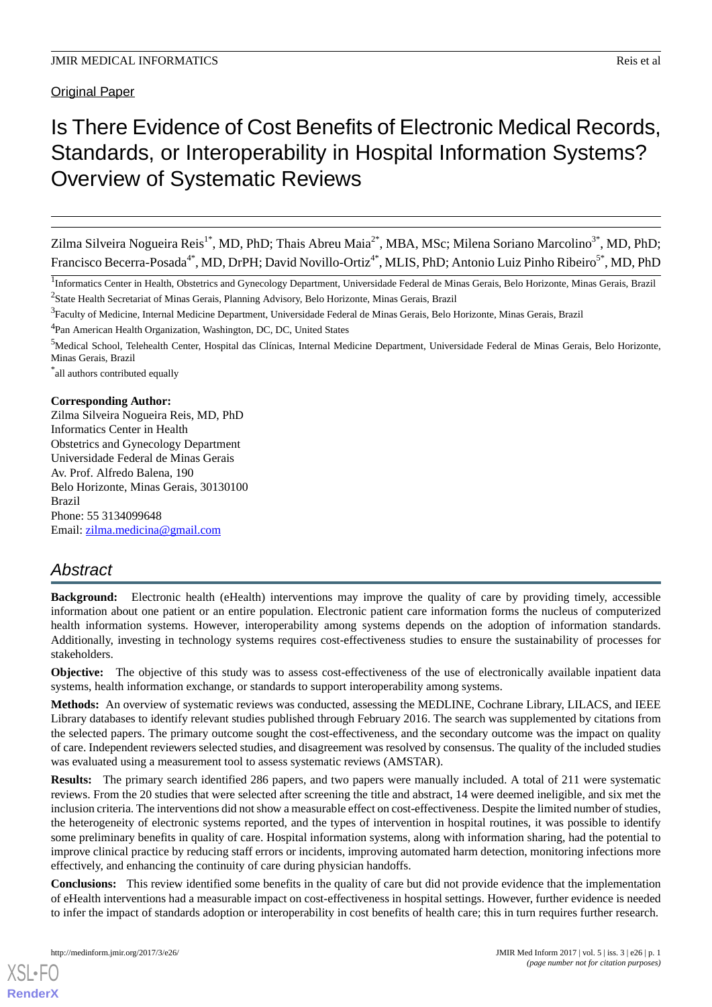Original Paper

# Is There Evidence of Cost Benefits of Electronic Medical Records, Standards, or Interoperability in Hospital Information Systems? Overview of Systematic Reviews

Zilma Silveira Nogueira Reis<sup>1\*</sup>, MD, PhD; Thais Abreu Maia<sup>2\*</sup>, MBA, MSc; Milena Soriano Marcolino<sup>3\*</sup>, MD, PhD; Francisco Becerra-Posada<sup>4\*</sup>, MD, DrPH; David Novillo-Ortiz<sup>4\*</sup>, MLIS, PhD; Antonio Luiz Pinho Ribeiro<sup>5\*</sup>, MD, PhD

<sup>4</sup>Pan American Health Organization, Washington, DC, DC, United States

\* all authors contributed equally

#### **Corresponding Author:**

Zilma Silveira Nogueira Reis, MD, PhD Informatics Center in Health Obstetrics and Gynecology Department Universidade Federal de Minas Gerais Av. Prof. Alfredo Balena, 190 Belo Horizonte, Minas Gerais, 30130100 Brazil Phone: 55 3134099648 Email: [zilma.medicina@gmail.com](mailto:zilma.medicina@gmail.com)

# *Abstract*

**Background:** Electronic health (eHealth) interventions may improve the quality of care by providing timely, accessible information about one patient or an entire population. Electronic patient care information forms the nucleus of computerized health information systems. However, interoperability among systems depends on the adoption of information standards. Additionally, investing in technology systems requires cost-effectiveness studies to ensure the sustainability of processes for stakeholders.

**Objective:** The objective of this study was to assess cost-effectiveness of the use of electronically available inpatient data systems, health information exchange, or standards to support interoperability among systems.

**Methods:** An overview of systematic reviews was conducted, assessing the MEDLINE, Cochrane Library, LILACS, and IEEE Library databases to identify relevant studies published through February 2016. The search was supplemented by citations from the selected papers. The primary outcome sought the cost-effectiveness, and the secondary outcome was the impact on quality of care. Independent reviewers selected studies, and disagreement was resolved by consensus. The quality of the included studies was evaluated using a measurement tool to assess systematic reviews (AMSTAR).

**Results:** The primary search identified 286 papers, and two papers were manually included. A total of 211 were systematic reviews. From the 20 studies that were selected after screening the title and abstract, 14 were deemed ineligible, and six met the inclusion criteria. The interventions did not show a measurable effect on cost-effectiveness. Despite the limited number of studies, the heterogeneity of electronic systems reported, and the types of intervention in hospital routines, it was possible to identify some preliminary benefits in quality of care. Hospital information systems, along with information sharing, had the potential to improve clinical practice by reducing staff errors or incidents, improving automated harm detection, monitoring infections more effectively, and enhancing the continuity of care during physician handoffs.

**Conclusions:** This review identified some benefits in the quality of care but did not provide evidence that the implementation of eHealth interventions had a measurable impact on cost-effectiveness in hospital settings. However, further evidence is needed to infer the impact of standards adoption or interoperability in cost benefits of health care; this in turn requires further research.

<sup>&</sup>lt;sup>1</sup>Informatics Center in Health, Obstetrics and Gynecology Department, Universidade Federal de Minas Gerais, Belo Horizonte, Minas Gerais, Brazil <sup>2</sup> State Health Secretariat of Minas Gerais, Planning Advisory, Belo Horizonte, Minas Gerais, Brazil

<sup>&</sup>lt;sup>3</sup> Faculty of Medicine, Internal Medicine Department, Universidade Federal de Minas Gerais, Belo Horizonte, Minas Gerais, Brazil

<sup>5</sup>Medical School, Telehealth Center, Hospital das Clínicas, Internal Medicine Department, Universidade Federal de Minas Gerais, Belo Horizonte, Minas Gerais, Brazil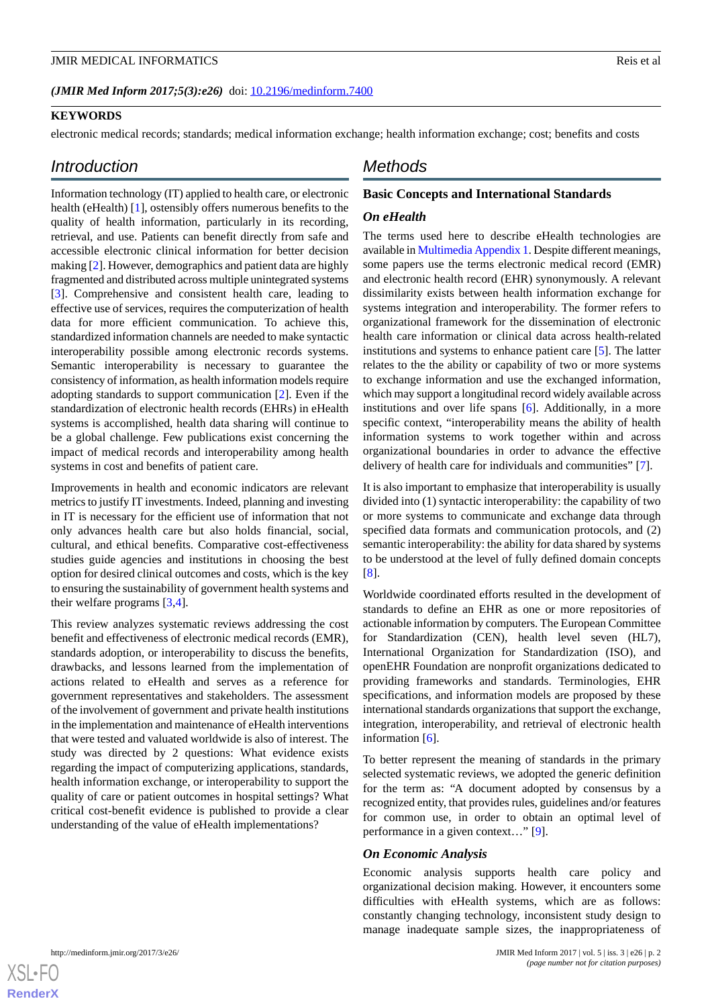## (JMIR Med Inform 2017;5(3):e26) doi: [10.2196/medinform.7400](http://dx.doi.org/10.2196/medinform.7400)

## **KEYWORDS**

electronic medical records; standards; medical information exchange; health information exchange; cost; benefits and costs

# *Introduction*

Information technology (IT) applied to health care, or electronic health (eHealth) [[1\]](#page-10-0), ostensibly offers numerous benefits to the quality of health information, particularly in its recording, retrieval, and use. Patients can benefit directly from safe and accessible electronic clinical information for better decision making [[2\]](#page-10-1). However, demographics and patient data are highly fragmented and distributed across multiple unintegrated systems [[3\]](#page-10-2). Comprehensive and consistent health care, leading to effective use of services, requires the computerization of health data for more efficient communication. To achieve this, standardized information channels are needed to make syntactic interoperability possible among electronic records systems. Semantic interoperability is necessary to guarantee the consistency of information, as health information models require adopting standards to support communication [\[2](#page-10-1)]. Even if the standardization of electronic health records (EHRs) in eHealth systems is accomplished, health data sharing will continue to be a global challenge. Few publications exist concerning the impact of medical records and interoperability among health systems in cost and benefits of patient care.

Improvements in health and economic indicators are relevant metrics to justify IT investments. Indeed, planning and investing in IT is necessary for the efficient use of information that not only advances health care but also holds financial, social, cultural, and ethical benefits. Comparative cost-effectiveness studies guide agencies and institutions in choosing the best option for desired clinical outcomes and costs, which is the key to ensuring the sustainability of government health systems and their welfare programs [\[3](#page-10-2),[4\]](#page-10-3).

This review analyzes systematic reviews addressing the cost benefit and effectiveness of electronic medical records (EMR), standards adoption, or interoperability to discuss the benefits, drawbacks, and lessons learned from the implementation of actions related to eHealth and serves as a reference for government representatives and stakeholders. The assessment of the involvement of government and private health institutions in the implementation and maintenance of eHealth interventions that were tested and valuated worldwide is also of interest. The study was directed by 2 questions: What evidence exists regarding the impact of computerizing applications, standards, health information exchange, or interoperability to support the quality of care or patient outcomes in hospital settings? What critical cost-benefit evidence is published to provide a clear understanding of the value of eHealth implementations?

# *Methods*

### **Basic Concepts and International Standards**

#### *On eHealth*

The terms used here to describe eHealth technologies are available in [Multimedia Appendix 1](#page-9-0). Despite different meanings, some papers use the terms electronic medical record (EMR) and electronic health record (EHR) synonymously. A relevant dissimilarity exists between health information exchange for systems integration and interoperability. The former refers to organizational framework for the dissemination of electronic health care information or clinical data across health-related institutions and systems to enhance patient care [\[5\]](#page-10-4). The latter relates to the the ability or capability of two or more systems to exchange information and use the exchanged information, which may support a longitudinal record widely available across institutions and over life spans [[6\]](#page-10-5). Additionally, in a more specific context, "interoperability means the ability of health information systems to work together within and across organizational boundaries in order to advance the effective delivery of health care for individuals and communities" [\[7](#page-10-6)].

It is also important to emphasize that interoperability is usually divided into (1) syntactic interoperability: the capability of two or more systems to communicate and exchange data through specified data formats and communication protocols, and (2) semantic interoperability: the ability for data shared by systems to be understood at the level of fully defined domain concepts [[8\]](#page-10-7).

Worldwide coordinated efforts resulted in the development of standards to define an EHR as one or more repositories of actionable information by computers. The European Committee for Standardization (CEN), health level seven (HL7), International Organization for Standardization (ISO), and openEHR Foundation are nonprofit organizations dedicated to providing frameworks and standards. Terminologies, EHR specifications, and information models are proposed by these international standards organizations that support the exchange, integration, interoperability, and retrieval of electronic health information [[6\]](#page-10-5).

To better represent the meaning of standards in the primary selected systematic reviews, we adopted the generic definition for the term as: "A document adopted by consensus by a recognized entity, that provides rules, guidelines and/or features for common use, in order to obtain an optimal level of performance in a given context…" [[9\]](#page-10-8).

#### *On Economic Analysis*

Economic analysis supports health care policy and organizational decision making. However, it encounters some difficulties with eHealth systems, which are as follows: constantly changing technology, inconsistent study design to manage inadequate sample sizes, the inappropriateness of

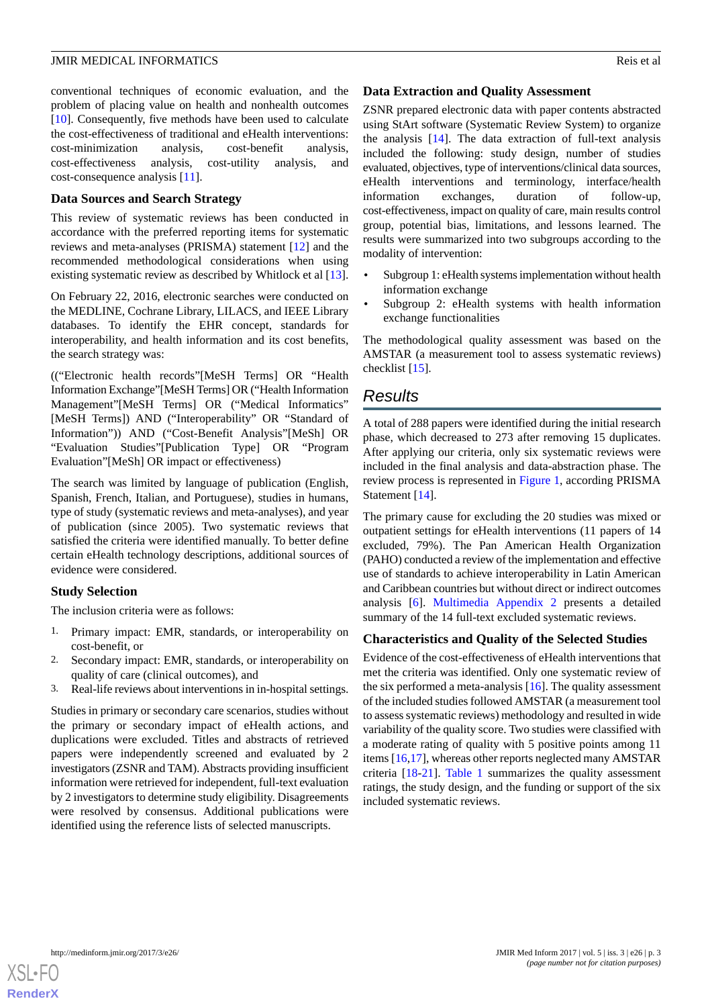conventional techniques of economic evaluation, and the problem of placing value on health and nonhealth outcomes [[10\]](#page-10-9). Consequently, five methods have been used to calculate the cost-effectiveness of traditional and eHealth interventions: cost-minimization analysis, cost-benefit analysis, cost-effectiveness analysis, cost-utility analysis, and cost-consequence analysis [[11\]](#page-10-10).

#### **Data Sources and Search Strategy**

This review of systematic reviews has been conducted in accordance with the preferred reporting items for systematic reviews and meta-analyses (PRISMA) statement [\[12](#page-10-11)] and the recommended methodological considerations when using existing systematic review as described by Whitlock et al [[13\]](#page-10-12).

On February 22, 2016, electronic searches were conducted on the MEDLINE, Cochrane Library, LILACS, and IEEE Library databases. To identify the EHR concept, standards for interoperability, and health information and its cost benefits, the search strategy was:

(("Electronic health records"[MeSH Terms] OR "Health Information Exchange"[MeSH Terms] OR ("Health Information Management"[MeSH Terms] OR ("Medical Informatics" [MeSH Terms]) AND ("Interoperability" OR "Standard of Information")) AND ("Cost-Benefit Analysis"[MeSh] OR "Evaluation Studies"[Publication Type] OR "Program Evaluation"[MeSh] OR impact or effectiveness)

The search was limited by language of publication (English, Spanish, French, Italian, and Portuguese), studies in humans, type of study (systematic reviews and meta-analyses), and year of publication (since 2005). Two systematic reviews that satisfied the criteria were identified manually. To better define certain eHealth technology descriptions, additional sources of evidence were considered.

#### **Study Selection**

The inclusion criteria were as follows:

- 1. Primary impact: EMR, standards, or interoperability on cost-benefit, or
- 2. Secondary impact: EMR, standards, or interoperability on quality of care (clinical outcomes), and
- 3. Real-life reviews about interventions in in-hospital settings.

Studies in primary or secondary care scenarios, studies without the primary or secondary impact of eHealth actions, and duplications were excluded. Titles and abstracts of retrieved papers were independently screened and evaluated by 2 investigators (ZSNR and TAM). Abstracts providing insufficient information were retrieved for independent, full-text evaluation by 2 investigators to determine study eligibility. Disagreements were resolved by consensus. Additional publications were identified using the reference lists of selected manuscripts.

#### **Data Extraction and Quality Assessment**

ZSNR prepared electronic data with paper contents abstracted using StArt software (Systematic Review System) to organize the analysis [[14\]](#page-10-13). The data extraction of full-text analysis included the following: study design, number of studies evaluated, objectives, type of interventions/clinical data sources, eHealth interventions and terminology, interface/health information exchanges, duration of follow-up, cost-effectiveness, impact on quality of care, main results control group, potential bias, limitations, and lessons learned. The results were summarized into two subgroups according to the modality of intervention:

- Subgroup 1: eHealth systems implementation without health information exchange
- Subgroup 2: eHealth systems with health information exchange functionalities

The methodological quality assessment was based on the AMSTAR (a measurement tool to assess systematic reviews) checklist [\[15](#page-10-14)].

# *Results*

A total of 288 papers were identified during the initial research phase, which decreased to 273 after removing 15 duplicates. After applying our criteria, only six systematic reviews were included in the final analysis and data-abstraction phase. The review process is represented in [Figure 1](#page-3-0), according PRISMA Statement [[14\]](#page-10-13).

The primary cause for excluding the 20 studies was mixed or outpatient settings for eHealth interventions (11 papers of 14 excluded, 79%). The Pan American Health Organization (PAHO) conducted a review of the implementation and effective use of standards to achieve interoperability in Latin American and Caribbean countries but without direct or indirect outcomes analysis [\[6](#page-10-5)]. [Multimedia Appendix 2](#page-10-15) presents a detailed summary of the 14 full-text excluded systematic reviews.

# **Characteristics and Quality of the Selected Studies**

Evidence of the cost-effectiveness of eHealth interventions that met the criteria was identified. Only one systematic review of the six performed a meta-analysis  $[16]$  $[16]$ . The quality assessment of the included studies followed AMSTAR (a measurement tool to assess systematic reviews) methodology and resulted in wide variability of the quality score. Two studies were classified with a moderate rating of quality with 5 positive points among 11 items [[16,](#page-10-16)[17](#page-10-17)], whereas other reports neglected many AMSTAR criteria [\[18](#page-10-18)-[21\]](#page-10-19). [Table 1](#page-4-0) summarizes the quality assessment ratings, the study design, and the funding or support of the six included systematic reviews.

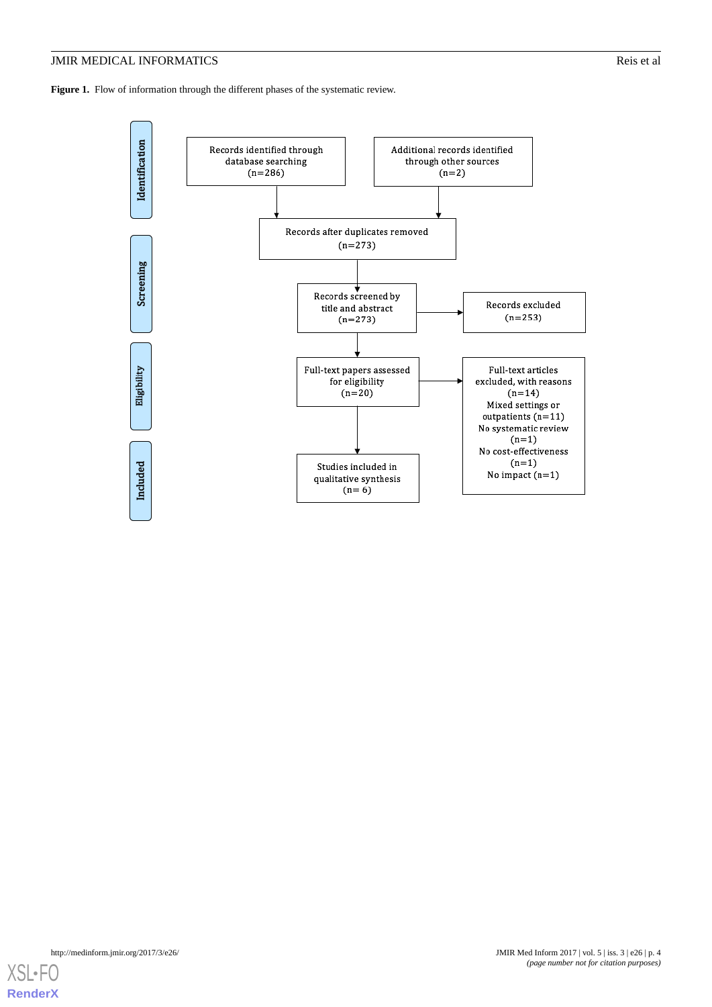<span id="page-3-0"></span>Figure 1. Flow of information through the different phases of the systematic review.



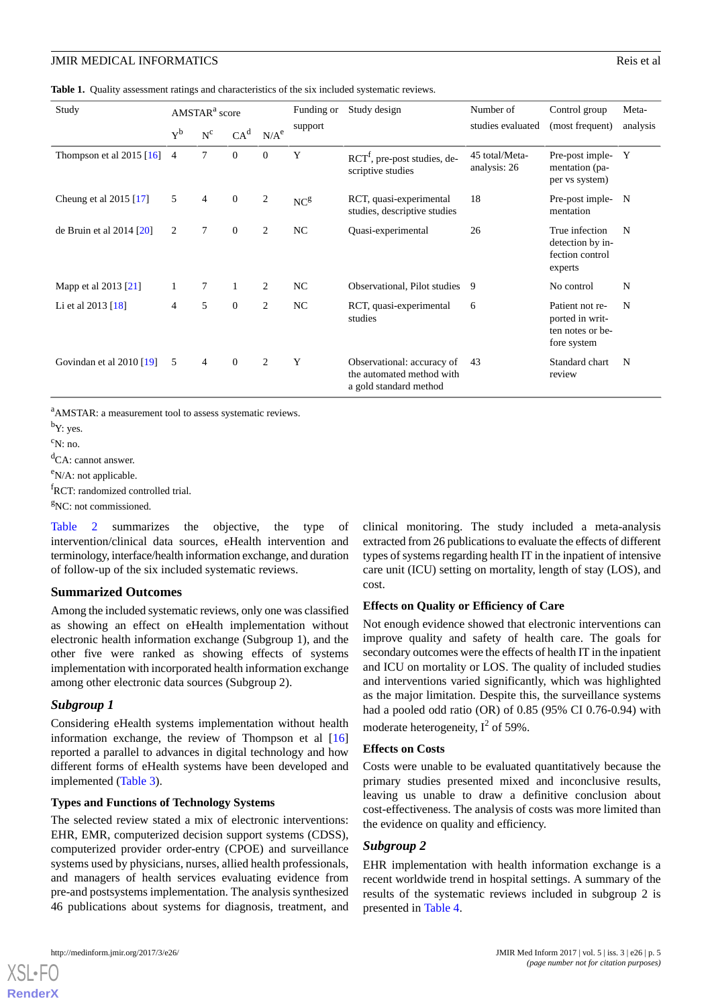<span id="page-4-0"></span>**Table 1.** Quality assessment ratings and characteristics of the six included systematic reviews.

| Study                          | AMSTAR <sup>a</sup> score |                       |                 |                  | Funding or      | Study design                                                                      | Number of                      | Control group                                                         | Meta-    |
|--------------------------------|---------------------------|-----------------------|-----------------|------------------|-----------------|-----------------------------------------------------------------------------------|--------------------------------|-----------------------------------------------------------------------|----------|
|                                | $Y^b$                     | $\text{N}^{\text{c}}$ | CA <sup>d</sup> | N/A <sup>e</sup> | support         |                                                                                   | studies evaluated              | (most frequent)                                                       | analysis |
| Thompson et al $2015$ [16]     | $\overline{4}$            | 7                     | $\mathbf{0}$    | $\mathbf{0}$     | Y               | $\text{RCT}^f$ , pre-post studies, de-<br>scriptive studies                       | 45 total/Meta-<br>analysis: 26 | Pre-post imple-<br>mentation (pa-<br>per vs system)                   | Y        |
| Cheung et al $2015$ [17]       | 5                         | $\overline{4}$        | $\mathbf{0}$    | $\overline{c}$   | NC <sup>g</sup> | RCT, quasi-experimental<br>studies, descriptive studies                           | 18                             | Pre-post imple-<br>mentation                                          | N        |
| de Bruin et al $2014$ [ $20$ ] | 2                         | 7                     | $\mathbf{0}$    | $\overline{c}$   | NC              | Quasi-experimental                                                                | 26                             | True infection<br>detection by in-<br>fection control<br>experts      | N        |
| Mapp et al 2013 [21]           |                           | $\tau$                |                 | 2                | NC              | Observational, Pilot studies                                                      | 9                              | No control                                                            | N        |
| Li et al $2013$ [18]           | 4                         | 5                     | $\mathbf{0}$    | $\overline{c}$   | NC              | RCT, quasi-experimental<br>studies                                                | 6                              | Patient not re-<br>ported in writ-<br>ten notes or be-<br>fore system | N        |
| Govindan et al 2010 [19]       | 5                         | $\overline{4}$        | $\mathbf{0}$    | 2                | Y               | Observational: accuracy of<br>the automated method with<br>a gold standard method | 43                             | Standard chart<br>review                                              | N        |

<sup>a</sup>AMSTAR: a measurement tool to assess systematic reviews.

<sup>b</sup>Y: yes.

 $c_{N: nO}$ 

<sup>d</sup>CA: cannot answer.

<sup>e</sup>N/A: not applicable.

<sup>f</sup>RCT: randomized controlled trial.

 ${}^{g}NC$ : not commissioned.

[Table 2](#page-5-0) summarizes the objective, the type of intervention/clinical data sources, eHealth intervention and terminology, interface/health information exchange, and duration of follow-up of the six included systematic reviews.

#### **Summarized Outcomes**

Among the included systematic reviews, only one was classified as showing an effect on eHealth implementation without electronic health information exchange (Subgroup 1), and the other five were ranked as showing effects of systems implementation with incorporated health information exchange among other electronic data sources (Subgroup 2).

## *Subgroup 1*

Considering eHealth systems implementation without health information exchange, the review of Thompson et al [\[16](#page-10-16)] reported a parallel to advances in digital technology and how different forms of eHealth systems have been developed and implemented ([Table 3](#page-6-0)).

#### **Types and Functions of Technology Systems**

The selected review stated a mix of electronic interventions: EHR, EMR, computerized decision support systems (CDSS), computerized provider order-entry (CPOE) and surveillance systems used by physicians, nurses, allied health professionals, and managers of health services evaluating evidence from pre-and postsystems implementation. The analysis synthesized 46 publications about systems for diagnosis, treatment, and

clinical monitoring. The study included a meta-analysis extracted from 26 publications to evaluate the effects of different types of systems regarding health IT in the inpatient of intensive care unit (ICU) setting on mortality, length of stay (LOS), and cost.

#### **Effects on Quality or Efficiency of Care**

Not enough evidence showed that electronic interventions can improve quality and safety of health care. The goals for secondary outcomes were the effects of health IT in the inpatient and ICU on mortality or LOS. The quality of included studies and interventions varied significantly, which was highlighted as the major limitation. Despite this, the surveillance systems had a pooled odd ratio (OR) of 0.85 (95% CI 0.76-0.94) with moderate heterogeneity,  $I^2$  of 59%.

#### **Effects on Costs**

Costs were unable to be evaluated quantitatively because the primary studies presented mixed and inconclusive results, leaving us unable to draw a definitive conclusion about cost-effectiveness. The analysis of costs was more limited than the evidence on quality and efficiency.

#### *Subgroup 2*

EHR implementation with health information exchange is a recent worldwide trend in hospital settings. A summary of the results of the systematic reviews included in subgroup 2 is presented in [Table 4](#page-7-0).



**[RenderX](http://www.renderx.com/)**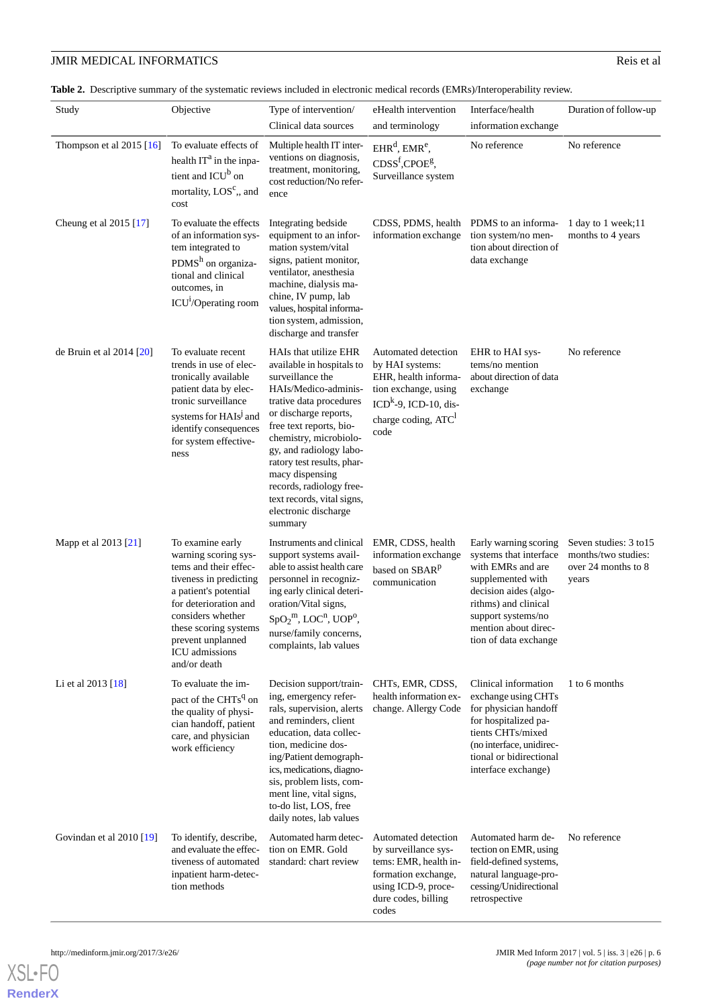<span id="page-5-0"></span>Table 2. Descriptive summary of the systematic reviews included in electronic medical records (EMRs)/Interoperability review.

| Study                          | Objective                                                                                                                                                                                                                                          | Type of intervention/<br>Clinical data sources                                                                                                                                                                                                                                                                                                                                   | eHealth intervention<br>and terminology                                                                                                                      | Interface/health<br>information exchange                                                                                                                                                                          | Duration of follow-up                                                         |
|--------------------------------|----------------------------------------------------------------------------------------------------------------------------------------------------------------------------------------------------------------------------------------------------|----------------------------------------------------------------------------------------------------------------------------------------------------------------------------------------------------------------------------------------------------------------------------------------------------------------------------------------------------------------------------------|--------------------------------------------------------------------------------------------------------------------------------------------------------------|-------------------------------------------------------------------------------------------------------------------------------------------------------------------------------------------------------------------|-------------------------------------------------------------------------------|
| Thompson et al $2015$ [16]     | To evaluate effects of<br>health IT <sup>a</sup> in the inpa-<br>tient and ICU <sup>b</sup> on<br>mortality, LOS <sup>c</sup> ,, and<br>cost                                                                                                       | Multiple health IT inter-<br>ventions on diagnosis,<br>treatment, monitoring,<br>cost reduction/No refer-<br>ence                                                                                                                                                                                                                                                                | $EHR^d$ , $EMR^e$ ,<br>CDSS <sup>f</sup> , CPOE <sup>g</sup> ,<br>Surveillance system                                                                        | No reference                                                                                                                                                                                                      | No reference                                                                  |
| Cheung et al 2015 [17]         | To evaluate the effects<br>of an information sys-<br>tem integrated to<br>PDMS $h$ on organiza-<br>tional and clinical<br>outcomes, in<br>ICU <sup>1</sup> /Operating room                                                                         | Integrating bedside<br>equipment to an infor-<br>mation system/vital<br>signs, patient monitor,<br>ventilator, anesthesia<br>machine, dialysis ma-<br>chine, IV pump, lab<br>values, hospital informa-<br>tion system, admission,<br>discharge and transfer                                                                                                                      | CDSS, PDMS, health PDMS to an informa-<br>information exchange                                                                                               | tion system/no men-<br>tion about direction of<br>data exchange                                                                                                                                                   | 1 day to 1 week;11<br>months to 4 years                                       |
| de Bruin et al $2014$ [ $20$ ] | To evaluate recent<br>trends in use of elec-<br>tronically available<br>patient data by elec-<br>tronic surveillance<br>systems for HAIs <sup>J</sup> and<br>identify consequences<br>for system effective-<br>ness                                | HAIs that utilize EHR<br>available in hospitals to<br>surveillance the<br>HAIs/Medico-adminis-<br>trative data procedures<br>or discharge reports,<br>free text reports, bio-<br>chemistry, microbiolo-<br>gy, and radiology labo-<br>ratory test results, phar-<br>macy dispensing<br>records, radiology free-<br>text records, vital signs,<br>electronic discharge<br>summary | Automated detection<br>by HAI systems:<br>EHR, health informa-<br>tion exchange, using<br>$ICDk$ -9, ICD-10, dis-<br>charge coding, ATC <sup>1</sup><br>code | EHR to HAI sys-<br>tems/no mention<br>about direction of data<br>exchange                                                                                                                                         | No reference                                                                  |
| Mapp et al 2013 [21]           | To examine early<br>warning scoring sys-<br>tems and their effec-<br>tiveness in predicting<br>a patient's potential<br>for deterioration and<br>considers whether<br>these scoring systems<br>prevent unplanned<br>ICU admissions<br>and/or death | Instruments and clinical<br>support systems avail-<br>able to assist health care<br>personnel in recogniz-<br>ing early clinical deteri-<br>oration/Vital signs,<br>$SpO2m$ , LOC <sup>n</sup> , UOP <sup>o</sup> ,<br>nurse/family concerns,<br>complaints, lab values                                                                                                          | EMR, CDSS, health<br>information exchange<br>based on SBAR <sup>p</sup><br>communication                                                                     | Early warning scoring<br>systems that interface<br>with EMRs and are<br>supplemented with<br>decision aides (algo-<br>rithms) and clinical<br>support systems/no<br>mention about direc-<br>tion of data exchange | Seven studies: 3 to 15<br>months/two studies:<br>over 24 months to 8<br>years |
| Li et al $2013$ [18]           | To evaluate the im-<br>pact of the CHTs <sup>q</sup> on<br>the quality of physi-<br>cian handoff, patient<br>care, and physician<br>work efficiency                                                                                                | Decision support/train-<br>ing, emergency refer-<br>rals, supervision, alerts<br>and reminders, client<br>education, data collec-<br>tion, medicine dos-<br>ing/Patient demograph-<br>ics, medications, diagno-<br>sis, problem lists, com-<br>ment line, vital signs,<br>to-do list, LOS, free<br>daily notes, lab values                                                       | CHTs, EMR, CDSS,<br>health information ex-<br>change. Allergy Code                                                                                           | Clinical information<br>exchange using CHTs<br>for physician handoff<br>for hospitalized pa-<br>tients CHTs/mixed<br>(no interface, unidirec-<br>tional or bidirectional<br>interface exchange)                   | 1 to 6 months                                                                 |
| Govindan et al 2010 [19]       | To identify, describe,<br>and evaluate the effec-<br>tiveness of automated<br>inpatient harm-detec-<br>tion methods                                                                                                                                | Automated harm detec-<br>tion on EMR. Gold<br>standard: chart review                                                                                                                                                                                                                                                                                                             | Automated detection<br>by surveillance sys-<br>tems: EMR, health in-<br>formation exchange,<br>using ICD-9, proce-<br>dure codes, billing<br>codes           | Automated harm de-<br>tection on EMR, using<br>field-defined systems,<br>natural language-pro-<br>cessing/Unidirectional<br>retrospective                                                                         | No reference                                                                  |



**[RenderX](http://www.renderx.com/)**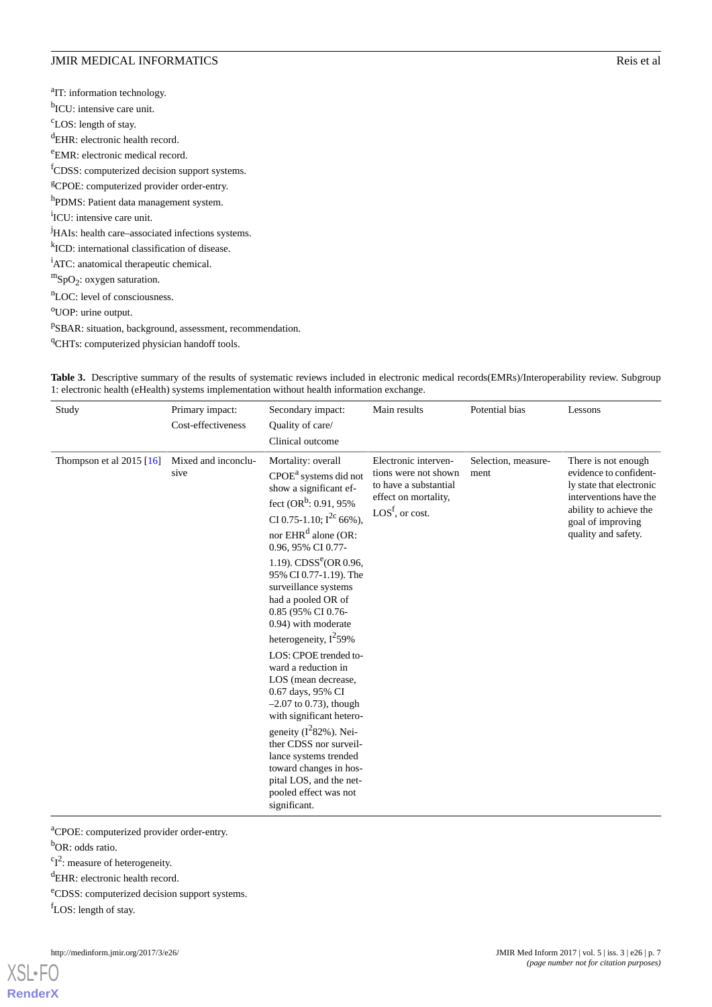<sup>a</sup>IT: information technology. <sup>b</sup>ICU: intensive care unit. <sup>c</sup>LOS: length of stay. <sup>d</sup>EHR: electronic health record. <sup>e</sup>EMR: electronic medical record. <sup>f</sup>CDSS: computerized decision support systems. <sup>g</sup>CPOE: computerized provider order-entry. <sup>h</sup>PDMS: Patient data management system. <sup>i</sup>ICU: intensive care unit. <sup>j</sup>HAIs: health care–associated infections systems. k ICD: international classification of disease. <sup>i</sup>ATC: anatomical therapeutic chemical.  $m$ SpO<sub>2</sub>: oxygen saturation. <sup>n</sup>LOC: level of consciousness. <sup>o</sup>UOP: urine output. <sup>p</sup>SBAR: situation, background, assessment, recommendation. <sup>q</sup>CHTs: computerized physician handoff tools.

<span id="page-6-0"></span>Table 3. Descriptive summary of the results of systematic reviews included in electronic medical records(EMRs)/Interoperability review. Subgroup 1: electronic health (eHealth) systems implementation without health information exchange.

| Study                      | Primary impact:<br>Cost-effectiveness | Secondary impact:<br>Quality of care/<br>Clinical outcome                                                                                                                                                                                                                                                                                                                                                                                                                                                                                                                                                                                                                                                                        | Main results                                                                                                                        | Potential bias              | Lessons                                                                                                                                                                   |
|----------------------------|---------------------------------------|----------------------------------------------------------------------------------------------------------------------------------------------------------------------------------------------------------------------------------------------------------------------------------------------------------------------------------------------------------------------------------------------------------------------------------------------------------------------------------------------------------------------------------------------------------------------------------------------------------------------------------------------------------------------------------------------------------------------------------|-------------------------------------------------------------------------------------------------------------------------------------|-----------------------------|---------------------------------------------------------------------------------------------------------------------------------------------------------------------------|
| Thompson et al $2015$ [16] | Mixed and inconclu-<br>sive           | Mortality: overall<br>$\text{CPOE}^{\text{a}}$ systems did not<br>show a significant ef-<br>fect $(OR^b: 0.91, 95\%$<br>CI 0.75-1.10; $I^{2c}$ 66%),<br>nor EHR <sup>d</sup> alone (OR:<br>0.96, 95% CI 0.77-<br>1.19). $CDSS^{e}$ (OR 0.96,<br>95% CI 0.77-1.19). The<br>surveillance systems<br>had a pooled OR of<br>0.85 (95% CI 0.76-<br>0.94) with moderate<br>heterogeneity, $I^2$ 59%<br>LOS: CPOE trended to-<br>ward a reduction in<br>LOS (mean decrease,<br>0.67 days, 95% CI<br>$-2.07$ to 0.73), though<br>with significant hetero-<br>geneity $(I^282\%)$ . Nei-<br>ther CDSS nor surveil-<br>lance systems trended<br>toward changes in hos-<br>pital LOS, and the net-<br>pooled effect was not<br>significant. | Electronic interven-<br>tions were not shown<br>to have a substantial<br>effect on mortality,<br>$\text{LOS}^{\text{f}}$ , or cost. | Selection, measure-<br>ment | There is not enough<br>evidence to confident-<br>ly state that electronic<br>interventions have the<br>ability to achieve the<br>goal of improving<br>quality and safety. |
|                            |                                       |                                                                                                                                                                                                                                                                                                                                                                                                                                                                                                                                                                                                                                                                                                                                  |                                                                                                                                     |                             |                                                                                                                                                                           |

<sup>a</sup>CPOE: computerized provider order-entry.

b<sub>OR</sub>: odds ratio.

 ${}^{c}I^{2}$ : measure of heterogeneity.

<sup>e</sup>CDSS: computerized decision support systems.

fLOS: length of stay.

<sup>d</sup>EHR: electronic health record.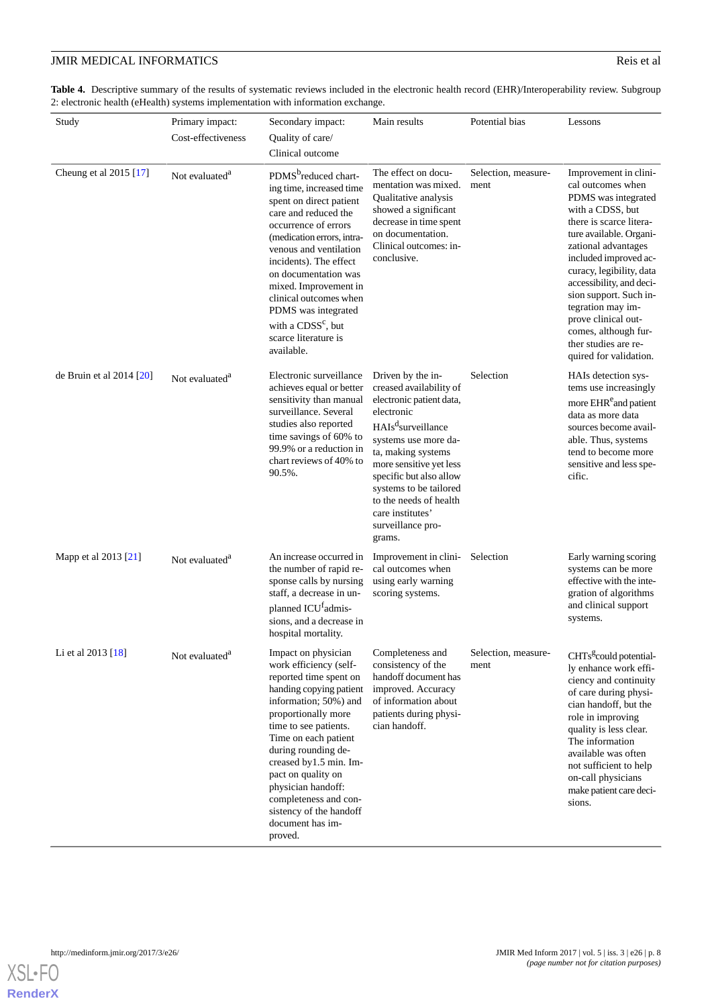<span id="page-7-0"></span>Table 4. Descriptive summary of the results of systematic reviews included in the electronic health record (EHR)/Interoperability review. Subgroup 2: electronic health (eHealth) systems implementation with information exchange.

| Study                          | Primary impact:<br>Cost-effectiveness | Secondary impact:<br>Quality of care/<br>Clinical outcome                                                                                                                                                                                                                                                                                                                                           | Main results                                                                                                                                                                                                                                                                                                                        | Potential bias              | Lessons                                                                                                                                                                                                                                                                                                                                                                                             |
|--------------------------------|---------------------------------------|-----------------------------------------------------------------------------------------------------------------------------------------------------------------------------------------------------------------------------------------------------------------------------------------------------------------------------------------------------------------------------------------------------|-------------------------------------------------------------------------------------------------------------------------------------------------------------------------------------------------------------------------------------------------------------------------------------------------------------------------------------|-----------------------------|-----------------------------------------------------------------------------------------------------------------------------------------------------------------------------------------------------------------------------------------------------------------------------------------------------------------------------------------------------------------------------------------------------|
| Cheung et al 2015 [17]         | Not evaluated <sup>a</sup>            | PDMS <sup>b</sup> reduced chart-<br>ing time, increased time<br>spent on direct patient<br>care and reduced the<br>occurrence of errors<br>(medication errors, intra-<br>venous and ventilation<br>incidents). The effect<br>on documentation was<br>mixed. Improvement in<br>clinical outcomes when<br>PDMS was integrated<br>with a CDSS <sup>c</sup> , but<br>scarce literature is<br>available. | The effect on docu-<br>mentation was mixed.<br>Qualitative analysis<br>showed a significant<br>decrease in time spent<br>on documentation.<br>Clinical outcomes: in-<br>conclusive.                                                                                                                                                 | Selection, measure-<br>ment | Improvement in clini-<br>cal outcomes when<br>PDMS was integrated<br>with a CDSS, but<br>there is scarce litera-<br>ture available. Organi-<br>zational advantages<br>included improved ac-<br>curacy, legibility, data<br>accessibility, and deci-<br>sion support. Such in-<br>tegration may im-<br>prove clinical out-<br>comes, although fur-<br>ther studies are re-<br>quired for validation. |
| de Bruin et al $2014$ [ $20$ ] | Not evaluated <sup>a</sup>            | Electronic surveillance<br>achieves equal or better<br>sensitivity than manual<br>surveillance. Several<br>studies also reported<br>time savings of 60% to<br>99.9% or a reduction in<br>chart reviews of 40% to<br>90.5%.                                                                                                                                                                          | Driven by the in-<br>creased availability of<br>electronic patient data,<br>electronic<br>HAIs <sup>d</sup> surveillance<br>systems use more da-<br>ta, making systems<br>more sensitive yet less<br>specific but also allow<br>systems to be tailored<br>to the needs of health<br>care institutes'<br>surveillance pro-<br>grams. | Selection                   | HAIs detection sys-<br>tems use increasingly<br>more EHR <sup>e</sup> and patient<br>data as more data<br>sources become avail-<br>able. Thus, systems<br>tend to become more<br>sensitive and less spe-<br>cific.                                                                                                                                                                                  |
| Mapp et al 2013 [21]           | Not evaluated <sup>a</sup>            | An increase occurred in<br>the number of rapid re-<br>sponse calls by nursing<br>staff, a decrease in un-<br>planned ICU <sup>t</sup> admis-<br>sions, and a decrease in<br>hospital mortality.                                                                                                                                                                                                     | Improvement in clini-<br>cal outcomes when<br>using early warning<br>scoring systems.                                                                                                                                                                                                                                               | Selection                   | Early warning scoring<br>systems can be more<br>effective with the inte-<br>gration of algorithms<br>and clinical support<br>systems.                                                                                                                                                                                                                                                               |
| Li et al 2013 [18]             | Not evaluated <sup>a</sup>            | Impact on physician<br>work efficiency (self-<br>reported time spent on<br>handing copying patient<br>information; 50%) and<br>proportionally more<br>time to see patients.<br>Time on each patient<br>during rounding de-<br>creased by 1.5 min. Im-<br>pact on quality on<br>physician handoff:<br>completeness and con-<br>sistency of the handoff<br>document has im-<br>proved.                | Completeness and<br>consistency of the<br>handoff document has<br>improved. Accuracy<br>of information about<br>patients during physi-<br>cian handoff.                                                                                                                                                                             | Selection, measure-<br>ment | CHTs <sup>g</sup> could potential-<br>ly enhance work effi-<br>ciency and continuity<br>of care during physi-<br>cian handoff, but the<br>role in improving<br>quality is less clear.<br>The information<br>available was often<br>not sufficient to help<br>on-call physicians<br>make patient care deci-<br>sions.                                                                                |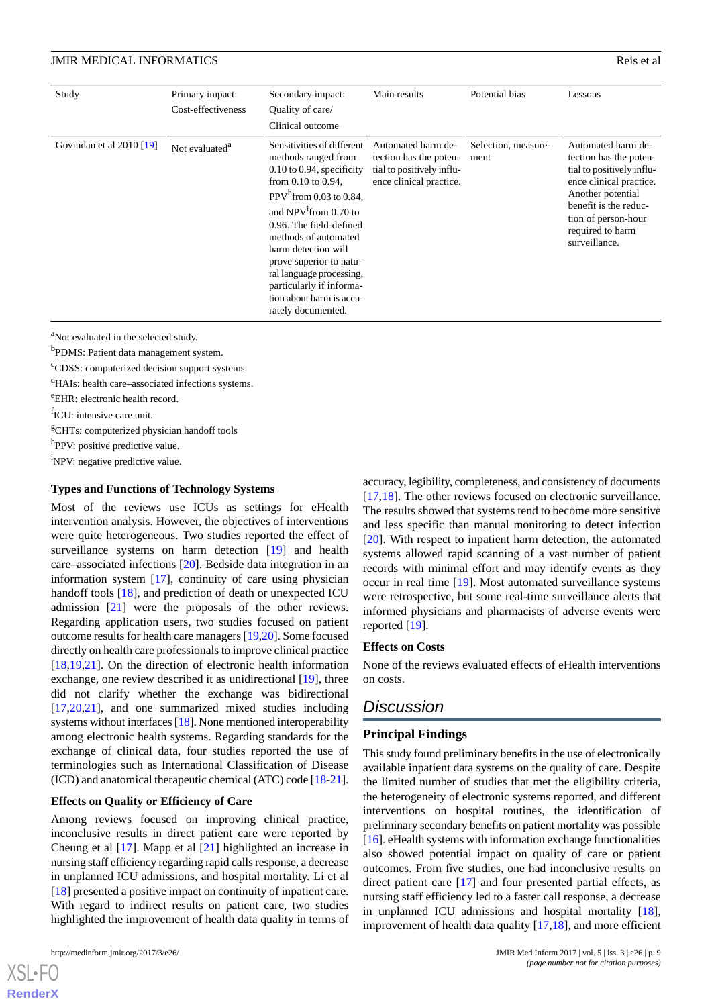| Study                      | Primary impact:<br>Cost-effectiveness | Secondary impact:<br>Quality of care/<br>Clinical outcome                                                                                                                                                                                                                                                                                                                            | Main results                                                                                         | Potential bias              | Lessons                                                                                                                                                                                                        |
|----------------------------|---------------------------------------|--------------------------------------------------------------------------------------------------------------------------------------------------------------------------------------------------------------------------------------------------------------------------------------------------------------------------------------------------------------------------------------|------------------------------------------------------------------------------------------------------|-----------------------------|----------------------------------------------------------------------------------------------------------------------------------------------------------------------------------------------------------------|
| Govindan et al $2010$ [19] | Not evaluated <sup>a</sup>            | Sensitivities of different<br>methods ranged from<br>$0.10$ to 0.94, specificity<br>from $0.10$ to $0.94$ ,<br>PPV $^h$ from 0.03 to 0.84,<br>and $NPV1$ from 0.70 to<br>0.96. The field-defined<br>methods of automated<br>harm detection will<br>prove superior to natu-<br>ral language processing,<br>particularly if informa-<br>tion about harm is accu-<br>rately documented. | Automated harm de-<br>tection has the poten-<br>tial to positively influ-<br>ence clinical practice. | Selection, measure-<br>ment | Automated harm de-<br>tection has the poten-<br>tial to positively influ-<br>ence clinical practice.<br>Another potential<br>benefit is the reduc-<br>tion of person-hour<br>required to harm<br>surveillance. |

<sup>a</sup>Not evaluated in the selected study.

b PDMS: Patient data management system.

<sup>c</sup>CDSS: computerized decision support systems.

<sup>d</sup>HAIs: health care–associated infections systems.

<sup>e</sup>EHR: electronic health record.

fICU: intensive care unit.

<sup>g</sup>CHTs: computerized physician handoff tools

<sup>h</sup>PPV: positive predictive value.

<sup>1</sup>NPV: negative predictive value.

#### **Types and Functions of Technology Systems**

Most of the reviews use ICUs as settings for eHealth intervention analysis. However, the objectives of interventions were quite heterogeneous. Two studies reported the effect of surveillance systems on harm detection [\[19](#page-10-21)] and health care–associated infections [\[20](#page-10-20)]. Bedside data integration in an information system [\[17](#page-10-17)], continuity of care using physician handoff tools [\[18](#page-10-18)], and prediction of death or unexpected ICU admission [\[21](#page-10-19)] were the proposals of the other reviews. Regarding application users, two studies focused on patient outcome results for health care managers [[19,](#page-10-21)[20\]](#page-10-20). Some focused directly on health care professionals to improve clinical practice [[18](#page-10-18)[,19](#page-10-21),[21\]](#page-10-19). On the direction of electronic health information exchange, one review described it as unidirectional [\[19](#page-10-21)], three did not clarify whether the exchange was bidirectional [[17](#page-10-17)[,20](#page-10-20),[21\]](#page-10-19), and one summarized mixed studies including systems without interfaces [\[18\]](#page-10-18). None mentioned interoperability among electronic health systems. Regarding standards for the exchange of clinical data, four studies reported the use of terminologies such as International Classification of Disease (ICD) and anatomical therapeutic chemical (ATC) code [\[18-](#page-10-18)[21\]](#page-10-19).

#### **Effects on Quality or Efficiency of Care**

Among reviews focused on improving clinical practice, inconclusive results in direct patient care were reported by Cheung et al [[17\]](#page-10-17). Mapp et al [\[21](#page-10-19)] highlighted an increase in nursing staff efficiency regarding rapid calls response, a decrease in unplanned ICU admissions, and hospital mortality. Li et al [[18\]](#page-10-18) presented a positive impact on continuity of inpatient care. With regard to indirect results on patient care, two studies highlighted the improvement of health data quality in terms of

 $XS$  • FC **[RenderX](http://www.renderx.com/)** accuracy, legibility, completeness, and consistency of documents [[17,](#page-10-17)[18\]](#page-10-18). The other reviews focused on electronic surveillance. The results showed that systems tend to become more sensitive and less specific than manual monitoring to detect infection [[20\]](#page-10-20). With respect to inpatient harm detection, the automated systems allowed rapid scanning of a vast number of patient records with minimal effort and may identify events as they occur in real time [\[19](#page-10-21)]. Most automated surveillance systems were retrospective, but some real-time surveillance alerts that informed physicians and pharmacists of adverse events were reported [[19\]](#page-10-21).

#### **Effects on Costs**

None of the reviews evaluated effects of eHealth interventions on costs.

# *Discussion*

#### **Principal Findings**

This study found preliminary benefits in the use of electronically available inpatient data systems on the quality of care. Despite the limited number of studies that met the eligibility criteria, the heterogeneity of electronic systems reported, and different interventions on hospital routines, the identification of preliminary secondary benefits on patient mortality was possible [[16\]](#page-10-16). eHealth systems with information exchange functionalities also showed potential impact on quality of care or patient outcomes. From five studies, one had inconclusive results on direct patient care [[17\]](#page-10-17) and four presented partial effects, as nursing staff efficiency led to a faster call response, a decrease in unplanned ICU admissions and hospital mortality [[18\]](#page-10-18), improvement of health data quality [\[17](#page-10-17),[18\]](#page-10-18), and more efficient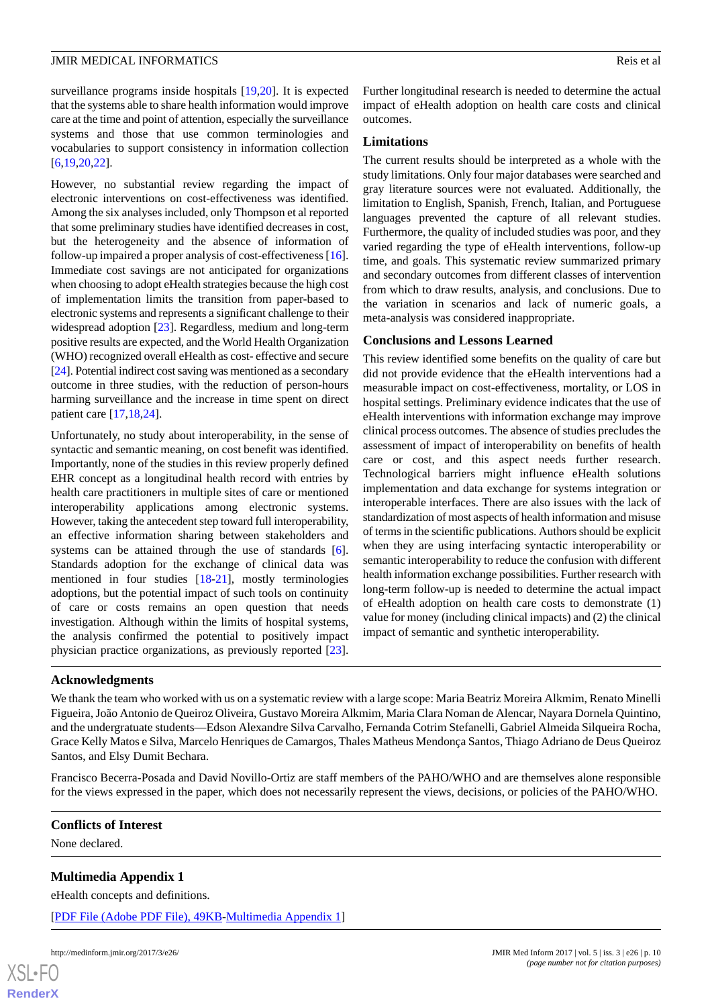surveillance programs inside hospitals [[19](#page-10-21)[,20](#page-10-20)]. It is expected that the systems able to share health information would improve care at the time and point of attention, especially the surveillance systems and those that use common terminologies and vocabularies to support consistency in information collection [[6](#page-10-5)[,19](#page-10-21),[20](#page-10-20)[,22](#page-11-0)].

However, no substantial review regarding the impact of electronic interventions on cost-effectiveness was identified. Among the six analyses included, only Thompson et al reported that some preliminary studies have identified decreases in cost, but the heterogeneity and the absence of information of follow-up impaired a proper analysis of cost-effectiveness [[16\]](#page-10-16). Immediate cost savings are not anticipated for organizations when choosing to adopt eHealth strategies because the high cost of implementation limits the transition from paper-based to electronic systems and represents a significant challenge to their widespread adoption [[23\]](#page-11-1). Regardless, medium and long-term positive results are expected, and the World Health Organization (WHO) recognized overall eHealth as cost- effective and secure [[24\]](#page-11-2). Potential indirect cost saving was mentioned as a secondary outcome in three studies, with the reduction of person-hours harming surveillance and the increase in time spent on direct patient care [[17,](#page-10-17)[18](#page-10-18),[24\]](#page-11-2).

Unfortunately, no study about interoperability, in the sense of syntactic and semantic meaning, on cost benefit was identified. Importantly, none of the studies in this review properly defined EHR concept as a longitudinal health record with entries by health care practitioners in multiple sites of care or mentioned interoperability applications among electronic systems. However, taking the antecedent step toward full interoperability, an effective information sharing between stakeholders and systems can be attained through the use of standards [[6\]](#page-10-5). Standards adoption for the exchange of clinical data was mentioned in four studies [[18](#page-10-18)[-21](#page-10-19)], mostly terminologies adoptions, but the potential impact of such tools on continuity of care or costs remains an open question that needs investigation. Although within the limits of hospital systems, the analysis confirmed the potential to positively impact physician practice organizations, as previously reported [[23\]](#page-11-1).

Further longitudinal research is needed to determine the actual impact of eHealth adoption on health care costs and clinical outcomes.

#### **Limitations**

The current results should be interpreted as a whole with the study limitations. Only four major databases were searched and gray literature sources were not evaluated. Additionally, the limitation to English, Spanish, French, Italian, and Portuguese languages prevented the capture of all relevant studies. Furthermore, the quality of included studies was poor, and they varied regarding the type of eHealth interventions, follow-up time, and goals. This systematic review summarized primary and secondary outcomes from different classes of intervention from which to draw results, analysis, and conclusions. Due to the variation in scenarios and lack of numeric goals, a meta-analysis was considered inappropriate.

#### **Conclusions and Lessons Learned**

This review identified some benefits on the quality of care but did not provide evidence that the eHealth interventions had a measurable impact on cost-effectiveness, mortality, or LOS in hospital settings. Preliminary evidence indicates that the use of eHealth interventions with information exchange may improve clinical process outcomes. The absence of studies precludes the assessment of impact of interoperability on benefits of health care or cost, and this aspect needs further research. Technological barriers might influence eHealth solutions implementation and data exchange for systems integration or interoperable interfaces. There are also issues with the lack of standardization of most aspects of health information and misuse of terms in the scientific publications. Authors should be explicit when they are using interfacing syntactic interoperability or semantic interoperability to reduce the confusion with different health information exchange possibilities. Further research with long-term follow-up is needed to determine the actual impact of eHealth adoption on health care costs to demonstrate (1) value for money (including clinical impacts) and (2) the clinical impact of semantic and synthetic interoperability.

#### **Acknowledgments**

We thank the team who worked with us on a systematic review with a large scope: Maria Beatriz Moreira Alkmim, Renato Minelli Figueira, João Antonio de Queiroz Oliveira, Gustavo Moreira Alkmim, Maria Clara Noman de Alencar, Nayara Dornela Quintino, and the undergratuate students—Edson Alexandre Silva Carvalho, Fernanda Cotrim Stefanelli, Gabriel Almeida Silqueira Rocha, Grace Kelly Matos e Silva, Marcelo Henriques de Camargos, Thales Matheus Mendonça Santos, Thiago Adriano de Deus Queiroz Santos, and Elsy Dumit Bechara.

<span id="page-9-0"></span>Francisco Becerra-Posada and David Novillo-Ortiz are staff members of the PAHO/WHO and are themselves alone responsible for the views expressed in the paper, which does not necessarily represent the views, decisions, or policies of the PAHO/WHO.

#### **Conflicts of Interest**

None declared.

#### **Multimedia Appendix 1**

eHealth concepts and definitions.

[[PDF File \(Adobe PDF File\), 49KB-Multimedia Appendix 1](https://jmir.org/api/download?alt_name=medinform_v5i3e26_app1.pdf&filename=85e9bb8e31a8a41c0de7ab9647555a00.pdf)]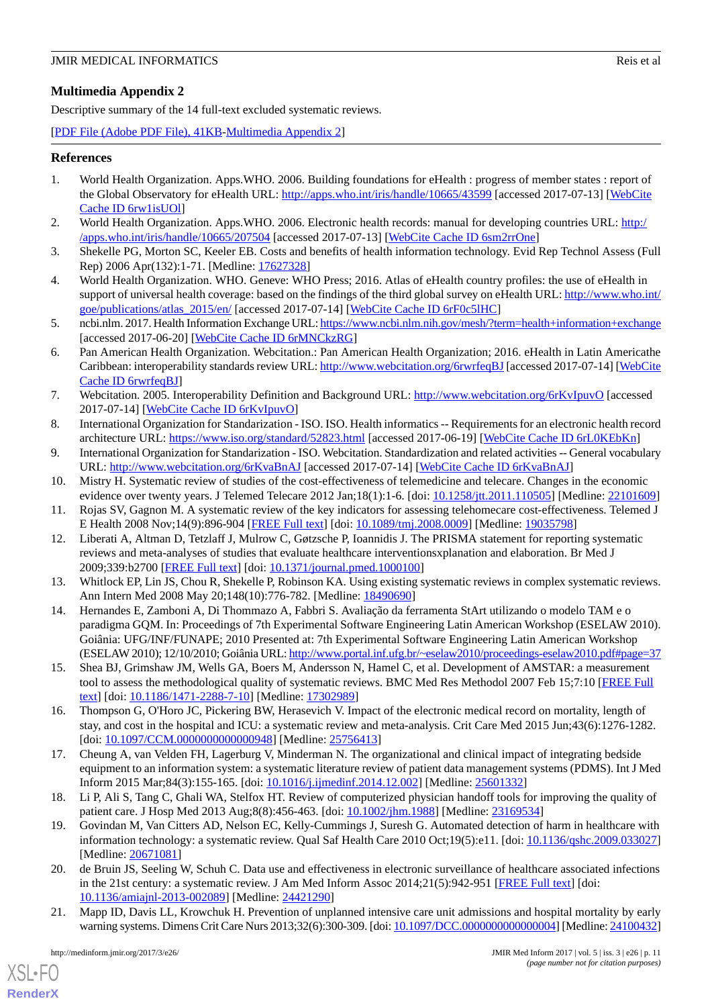# <span id="page-10-15"></span>**Multimedia Appendix 2**

Descriptive summary of the 14 full-text excluded systematic reviews.

[[PDF File \(Adobe PDF File\), 41KB-Multimedia Appendix 2](https://jmir.org/api/download?alt_name=medinform_v5i3e26_app2.pdf&filename=31e8d38c9b3d3850463f625b52073e10.pdf)]

# <span id="page-10-0"></span>**References**

- <span id="page-10-1"></span>1. World Health Organization. Apps.WHO. 2006. Building foundations for eHealth : progress of member states : report of the Global Observatory for eHealth URL: <http://apps.who.int/iris/handle/10665/43599> [accessed 2017-07-13] [\[WebCite](http://www.webcitation.org/

                                6rw1isUOl) [Cache ID 6rw1isUOl\]](http://www.webcitation.org/

                                6rw1isUOl)
- <span id="page-10-2"></span>2. World Health Organization. Apps.WHO. 2006. Electronic health records: manual for developing countries URL: [http:/](http://apps.who.int/iris/handle/10665/207504) [/apps.who.int/iris/handle/10665/207504](http://apps.who.int/iris/handle/10665/207504) [accessed 2017-07-13] [\[WebCite Cache ID 6sm2rrOne\]](http://www.webcitation.org/

                                6sm2rrOne)
- <span id="page-10-3"></span>3. Shekelle PG, Morton SC, Keeler EB. Costs and benefits of health information technology. Evid Rep Technol Assess (Full Rep) 2006 Apr(132):1-71. [Medline: [17627328](http://www.ncbi.nlm.nih.gov/entrez/query.fcgi?cmd=Retrieve&db=PubMed&list_uids=17627328&dopt=Abstract)]
- <span id="page-10-4"></span>4. World Health Organization. WHO. Geneve: WHO Press; 2016. Atlas of eHealth country profiles: the use of eHealth in support of universal health coverage: based on the findings of the third global survey on eHealth URL: [http://www.who.int/](http://www.who.int/goe/publications/atlas_2015/en/) [goe/publications/atlas\\_2015/en/](http://www.who.int/goe/publications/atlas_2015/en/) [accessed 2017-07-14] [[WebCite Cache ID 6rF0c5lHC\]](http://www.webcitation.org/

                                6rF0c5lHC)
- <span id="page-10-5"></span>5. ncbi.nlm. 2017. Health Information Exchange URL:<https://www.ncbi.nlm.nih.gov/mesh/?term=health+information+exchange> [accessed 2017-06-20] [\[WebCite Cache ID 6rMNCkzRG](http://www.webcitation.org/

                                6rMNCkzRG)]
- <span id="page-10-6"></span>6. Pan American Health Organization. Webcitation.: Pan American Health Organization; 2016. eHealth in Latin Americathe Caribbean: interoperability standards review URL:<http://www.webcitation.org/6rwrfeqBJ>[accessed 2017-07-14] [\[WebCite](http://www.webcitation.org/

                                6rwrfeqBJ) [Cache ID 6rwrfeqBJ](http://www.webcitation.org/

                                6rwrfeqBJ)]
- <span id="page-10-8"></span><span id="page-10-7"></span>7. Webcitation. 2005. Interoperability Definition and Background URL:<http://www.webcitation.org/6rKvIpuvO> [accessed 2017-07-14] [\[WebCite Cache ID 6rKvIpuvO](http://www.webcitation.org/

                                6rKvIpuvO)]
- <span id="page-10-9"></span>8. International Organization for Standarization - ISO. ISO. Health informatics -- Requirements for an electronic health record architecture URL: <https://www.iso.org/standard/52823.html> [accessed 2017-06-19] [\[WebCite Cache ID 6rL0KEbKn](http://www.webcitation.org/

                                6rL0KEbKn)]
- <span id="page-10-10"></span>9. International Organization for Standarization - ISO. Webcitation. Standardization and related activities -- General vocabulary URL: <http://www.webcitation.org/6rKvaBnAJ> [accessed 2017-07-14] [[WebCite Cache ID 6rKvaBnAJ](http://www.webcitation.org/

                                6rKvaBnAJ)]
- <span id="page-10-11"></span>10. Mistry H. Systematic review of studies of the cost-effectiveness of telemedicine and telecare. Changes in the economic evidence over twenty years. J Telemed Telecare 2012 Jan;18(1):1-6. [doi: [10.1258/jtt.2011.110505\]](http://dx.doi.org/10.1258/jtt.2011.110505) [Medline: [22101609\]](http://www.ncbi.nlm.nih.gov/entrez/query.fcgi?cmd=Retrieve&db=PubMed&list_uids=22101609&dopt=Abstract)
- <span id="page-10-12"></span>11. Rojas SV, Gagnon M. A systematic review of the key indicators for assessing telehomecare cost-effectiveness. Telemed J E Health 2008 Nov;14(9):896-904 [\[FREE Full text\]](http://europepmc.org/abstract/MED/19035798) [doi: [10.1089/tmj.2008.0009\]](http://dx.doi.org/10.1089/tmj.2008.0009) [Medline: [19035798](http://www.ncbi.nlm.nih.gov/entrez/query.fcgi?cmd=Retrieve&db=PubMed&list_uids=19035798&dopt=Abstract)]
- <span id="page-10-13"></span>12. Liberati A, Altman D, Tetzlaff J, Mulrow C, Gøtzsche P, Ioannidis J. The PRISMA statement for reporting systematic reviews and meta-analyses of studies that evaluate healthcare interventionsxplanation and elaboration. Br Med J 2009;339:b2700 [[FREE Full text](http://www.bmj.com/cgi/pmidlookup?view=long&pmid=19622552)] [doi: [10.1371/journal.pmed.1000100](http://dx.doi.org/10.1371/journal.pmed.1000100)]
- 13. Whitlock EP, Lin JS, Chou R, Shekelle P, Robinson KA. Using existing systematic reviews in complex systematic reviews. Ann Intern Med 2008 May 20;148(10):776-782. [Medline: [18490690](http://www.ncbi.nlm.nih.gov/entrez/query.fcgi?cmd=Retrieve&db=PubMed&list_uids=18490690&dopt=Abstract)]
- <span id="page-10-14"></span>14. Hernandes E, Zamboni A, Di Thommazo A, Fabbri S. Avaliação da ferramenta StArt utilizando o modelo TAM e o paradigma GQM. In: Proceedings of 7th Experimental Software Engineering Latin American Workshop (ESELAW 2010). Goiânia: UFG/INF/FUNAPE; 2010 Presented at: 7th Experimental Software Engineering Latin American Workshop (ESELAW 2010); 12/10/2010; Goiânia URL:<http://www.portal.inf.ufg.br/~eselaw2010/proceedings-eselaw2010.pdf#page=37>
- <span id="page-10-17"></span><span id="page-10-16"></span>15. Shea BJ, Grimshaw JM, Wells GA, Boers M, Andersson N, Hamel C, et al. Development of AMSTAR: a measurement tool to assess the methodological quality of systematic reviews. BMC Med Res Methodol 2007 Feb 15;7:10 [[FREE Full](https://bmcmedresmethodol.biomedcentral.com/articles/10.1186/1471-2288-7-10) [text](https://bmcmedresmethodol.biomedcentral.com/articles/10.1186/1471-2288-7-10)] [doi: [10.1186/1471-2288-7-10\]](http://dx.doi.org/10.1186/1471-2288-7-10) [Medline: [17302989\]](http://www.ncbi.nlm.nih.gov/entrez/query.fcgi?cmd=Retrieve&db=PubMed&list_uids=17302989&dopt=Abstract)
- <span id="page-10-18"></span>16. Thompson G, O'Horo JC, Pickering BW, Herasevich V. Impact of the electronic medical record on mortality, length of stay, and cost in the hospital and ICU: a systematic review and meta-analysis. Crit Care Med 2015 Jun;43(6):1276-1282. [doi: [10.1097/CCM.0000000000000948\]](http://dx.doi.org/10.1097/CCM.0000000000000948) [Medline: [25756413\]](http://www.ncbi.nlm.nih.gov/entrez/query.fcgi?cmd=Retrieve&db=PubMed&list_uids=25756413&dopt=Abstract)
- <span id="page-10-21"></span>17. Cheung A, van Velden FH, Lagerburg V, Minderman N. The organizational and clinical impact of integrating bedside equipment to an information system: a systematic literature review of patient data management systems (PDMS). Int J Med Inform 2015 Mar;84(3):155-165. [doi: [10.1016/j.ijmedinf.2014.12.002\]](http://dx.doi.org/10.1016/j.ijmedinf.2014.12.002) [Medline: [25601332\]](http://www.ncbi.nlm.nih.gov/entrez/query.fcgi?cmd=Retrieve&db=PubMed&list_uids=25601332&dopt=Abstract)
- <span id="page-10-20"></span>18. Li P, Ali S, Tang C, Ghali WA, Stelfox HT. Review of computerized physician handoff tools for improving the quality of patient care. J Hosp Med 2013 Aug;8(8):456-463. [doi: [10.1002/jhm.1988\]](http://dx.doi.org/10.1002/jhm.1988) [Medline: [23169534\]](http://www.ncbi.nlm.nih.gov/entrez/query.fcgi?cmd=Retrieve&db=PubMed&list_uids=23169534&dopt=Abstract)
- <span id="page-10-19"></span>19. Govindan M, Van Citters AD, Nelson EC, Kelly-Cummings J, Suresh G. Automated detection of harm in healthcare with information technology: a systematic review. Qual Saf Health Care 2010 Oct;19(5):e11. [doi: [10.1136/qshc.2009.033027](http://dx.doi.org/10.1136/qshc.2009.033027)] [Medline: [20671081](http://www.ncbi.nlm.nih.gov/entrez/query.fcgi?cmd=Retrieve&db=PubMed&list_uids=20671081&dopt=Abstract)]
- 20. de Bruin JS, Seeling W, Schuh C. Data use and effectiveness in electronic surveillance of healthcare associated infections in the 21st century: a systematic review. J Am Med Inform Assoc 2014;21(5):942-951 [[FREE Full text](http://jamia.oxfordjournals.org/cgi/pmidlookup?view=long&pmid=24421290)] [doi: [10.1136/amiajnl-2013-002089](http://dx.doi.org/10.1136/amiajnl-2013-002089)] [Medline: [24421290](http://www.ncbi.nlm.nih.gov/entrez/query.fcgi?cmd=Retrieve&db=PubMed&list_uids=24421290&dopt=Abstract)]
- 21. Mapp ID, Davis LL, Krowchuk H. Prevention of unplanned intensive care unit admissions and hospital mortality by early warning systems. Dimens Crit Care Nurs 2013;32(6):300-309. [doi: [10.1097/DCC.0000000000000004\]](http://dx.doi.org/10.1097/DCC.0000000000000004) [Medline: [24100432\]](http://www.ncbi.nlm.nih.gov/entrez/query.fcgi?cmd=Retrieve&db=PubMed&list_uids=24100432&dopt=Abstract)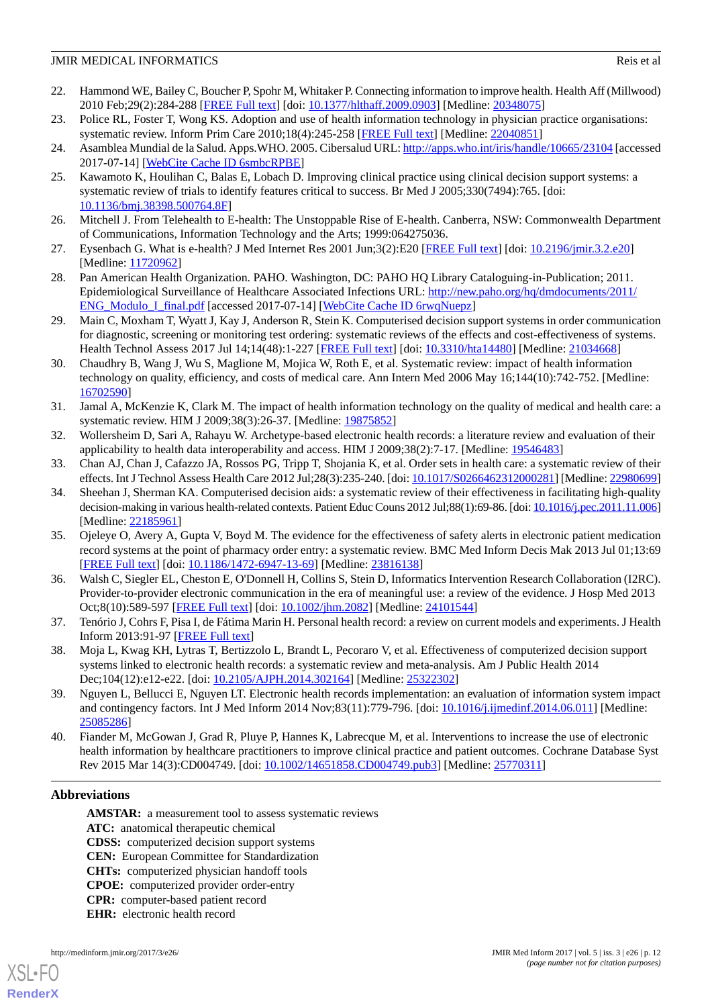- <span id="page-11-0"></span>22. Hammond WE, Bailey C, Boucher P, Spohr M, Whitaker P. Connecting information to improve health. Health Aff (Millwood) 2010 Feb;29(2):284-288 [\[FREE Full text\]](http://content.healthaffairs.org/cgi/pmidlookup?view=long&pmid=20348075) [doi: [10.1377/hlthaff.2009.0903\]](http://dx.doi.org/10.1377/hlthaff.2009.0903) [Medline: [20348075](http://www.ncbi.nlm.nih.gov/entrez/query.fcgi?cmd=Retrieve&db=PubMed&list_uids=20348075&dopt=Abstract)]
- <span id="page-11-2"></span><span id="page-11-1"></span>23. Police RL, Foster T, Wong KS. Adoption and use of health information technology in physician practice organisations: systematic review. Inform Prim Care 2010;18(4):245-258 [\[FREE Full text\]](http://hijournal.bcs.org/index.php/jhi/article/view/780) [Medline: [22040851](http://www.ncbi.nlm.nih.gov/entrez/query.fcgi?cmd=Retrieve&db=PubMed&list_uids=22040851&dopt=Abstract)]
- 24. Asamblea Mundial de la Salud. Apps. WHO. 2005. Cibersalud URL:<http://apps.who.int/iris/handle/10665/23104> [accessed 2017-07-14] [\[WebCite Cache ID 6smbcRPBE](http://www.webcitation.org/

                                6smbcRPBE)]
- 25. Kawamoto K, Houlihan C, Balas E, Lobach D. Improving clinical practice using clinical decision support systems: a systematic review of trials to identify features critical to success. Br Med J 2005;330(7494):765. [doi: [10.1136/bmj.38398.500764.8F](http://dx.doi.org/10.1136/bmj.38398.500764.8F)]
- 26. Mitchell J. From Telehealth to E-health: The Unstoppable Rise of E-health. Canberra, NSW: Commonwealth Department of Communications, Information Technology and the Arts; 1999:064275036.
- 27. Eysenbach G. What is e-health? J Med Internet Res 2001 Jun;3(2):E20 [[FREE Full text](http://www.jmir.org/2001/2/e20/)] [doi: [10.2196/jmir.3.2.e20\]](http://dx.doi.org/10.2196/jmir.3.2.e20) [Medline: [11720962](http://www.ncbi.nlm.nih.gov/entrez/query.fcgi?cmd=Retrieve&db=PubMed&list_uids=11720962&dopt=Abstract)]
- 28. Pan American Health Organization. PAHO. Washington, DC: PAHO HQ Library Cataloguing-in-Publication; 2011. Epidemiological Surveillance of Healthcare Associated Infections URL: [http://new.paho.org/hq/dmdocuments/2011/](http://new.paho.org/hq/dmdocuments/2011/ENG_Modulo_I_final.pdf) [ENG\\_Modulo\\_I\\_final.pdf](http://new.paho.org/hq/dmdocuments/2011/ENG_Modulo_I_final.pdf) [accessed 2017-07-14] [\[WebCite Cache ID 6rwqNuepz\]](http://www.webcitation.org/

                                6rwqNuepz)
- 29. Main C, Moxham T, Wyatt J, Kay J, Anderson R, Stein K. Computerised decision support systems in order communication for diagnostic, screening or monitoring test ordering: systematic reviews of the effects and cost-effectiveness of systems. Health Technol Assess 2017 Jul 14;14(48):1-227 [\[FREE Full text](https://ore.exeter.ac.uk/repository/handle/10871/14229)] [doi: [10.3310/hta14480](http://dx.doi.org/10.3310/hta14480)] [Medline: [21034668\]](http://www.ncbi.nlm.nih.gov/entrez/query.fcgi?cmd=Retrieve&db=PubMed&list_uids=21034668&dopt=Abstract)
- 30. Chaudhry B, Wang J, Wu S, Maglione M, Mojica W, Roth E, et al. Systematic review: impact of health information technology on quality, efficiency, and costs of medical care. Ann Intern Med 2006 May 16;144(10):742-752. [Medline: [16702590](http://www.ncbi.nlm.nih.gov/entrez/query.fcgi?cmd=Retrieve&db=PubMed&list_uids=16702590&dopt=Abstract)]
- 31. Jamal A, McKenzie K, Clark M. The impact of health information technology on the quality of medical and health care: a systematic review. HIM J 2009;38(3):26-37. [Medline: [19875852](http://www.ncbi.nlm.nih.gov/entrez/query.fcgi?cmd=Retrieve&db=PubMed&list_uids=19875852&dopt=Abstract)]
- 32. Wollersheim D, Sari A, Rahayu W. Archetype-based electronic health records: a literature review and evaluation of their applicability to health data interoperability and access. HIM J 2009;38(2):7-17. [Medline: [19546483\]](http://www.ncbi.nlm.nih.gov/entrez/query.fcgi?cmd=Retrieve&db=PubMed&list_uids=19546483&dopt=Abstract)
- 33. Chan AJ, Chan J, Cafazzo JA, Rossos PG, Tripp T, Shojania K, et al. Order sets in health care: a systematic review of their effects. Int J Technol Assess Health Care 2012 Jul;28(3):235-240. [doi: [10.1017/S0266462312000281\]](http://dx.doi.org/10.1017/S0266462312000281) [Medline: [22980699\]](http://www.ncbi.nlm.nih.gov/entrez/query.fcgi?cmd=Retrieve&db=PubMed&list_uids=22980699&dopt=Abstract)
- 34. Sheehan J, Sherman KA. Computerised decision aids: a systematic review of their effectiveness in facilitating high-quality decision-making in various health-related contexts. Patient Educ Couns 2012 Jul;88(1):69-86. [doi: [10.1016/j.pec.2011.11.006\]](http://dx.doi.org/10.1016/j.pec.2011.11.006) [Medline: [22185961](http://www.ncbi.nlm.nih.gov/entrez/query.fcgi?cmd=Retrieve&db=PubMed&list_uids=22185961&dopt=Abstract)]
- 35. Ojeleye O, Avery A, Gupta V, Boyd M. The evidence for the effectiveness of safety alerts in electronic patient medication record systems at the point of pharmacy order entry: a systematic review. BMC Med Inform Decis Mak 2013 Jul 01;13:69 [[FREE Full text](https://bmcmedinformdecismak.biomedcentral.com/articles/10.1186/1472-6947-13-69)] [doi: [10.1186/1472-6947-13-69\]](http://dx.doi.org/10.1186/1472-6947-13-69) [Medline: [23816138](http://www.ncbi.nlm.nih.gov/entrez/query.fcgi?cmd=Retrieve&db=PubMed&list_uids=23816138&dopt=Abstract)]
- 36. Walsh C, Siegler EL, Cheston E, O'Donnell H, Collins S, Stein D, Informatics Intervention Research Collaboration (I2RC). Provider-to-provider electronic communication in the era of meaningful use: a review of the evidence. J Hosp Med 2013 Oct;8(10):589-597 [\[FREE Full text\]](http://europepmc.org/abstract/MED/24101544) [doi: [10.1002/jhm.2082](http://dx.doi.org/10.1002/jhm.2082)] [Medline: [24101544](http://www.ncbi.nlm.nih.gov/entrez/query.fcgi?cmd=Retrieve&db=PubMed&list_uids=24101544&dopt=Abstract)]
- 37. Tenório J, Cohrs F, Pisa I, de Fátima Marin H. Personal health record: a review on current models and experiments. J Health Inform 2013:91-97 [[FREE Full text](http://www.jhi-sbis.saude.ws/ojs-jhi/index.php/jhi-sbis/article/view/260)]
- 38. Moja L, Kwag KH, Lytras T, Bertizzolo L, Brandt L, Pecoraro V, et al. Effectiveness of computerized decision support systems linked to electronic health records: a systematic review and meta-analysis. Am J Public Health 2014 Dec;104(12):e12-e22. [doi: [10.2105/AJPH.2014.302164\]](http://dx.doi.org/10.2105/AJPH.2014.302164) [Medline: [25322302](http://www.ncbi.nlm.nih.gov/entrez/query.fcgi?cmd=Retrieve&db=PubMed&list_uids=25322302&dopt=Abstract)]
- 39. Nguyen L, Bellucci E, Nguyen LT. Electronic health records implementation: an evaluation of information system impact and contingency factors. Int J Med Inform 2014 Nov;83(11):779-796. [doi: [10.1016/j.ijmedinf.2014.06.011](http://dx.doi.org/10.1016/j.ijmedinf.2014.06.011)] [Medline: [25085286](http://www.ncbi.nlm.nih.gov/entrez/query.fcgi?cmd=Retrieve&db=PubMed&list_uids=25085286&dopt=Abstract)]
- 40. Fiander M, McGowan J, Grad R, Pluye P, Hannes K, Labrecque M, et al. Interventions to increase the use of electronic health information by healthcare practitioners to improve clinical practice and patient outcomes. Cochrane Database Syst Rev 2015 Mar 14(3):CD004749. [doi: [10.1002/14651858.CD004749.pub3](http://dx.doi.org/10.1002/14651858.CD004749.pub3)] [Medline: [25770311](http://www.ncbi.nlm.nih.gov/entrez/query.fcgi?cmd=Retrieve&db=PubMed&list_uids=25770311&dopt=Abstract)]

# **Abbreviations**

AMSTAR: a measurement tool to assess systematic reviews **ATC:** anatomical therapeutic chemical **CDSS:** computerized decision support systems **CEN:** European Committee for Standardization **CHTs:** computerized physician handoff tools **CPOE:** computerized provider order-entry **CPR:** computer-based patient record **EHR:** electronic health record